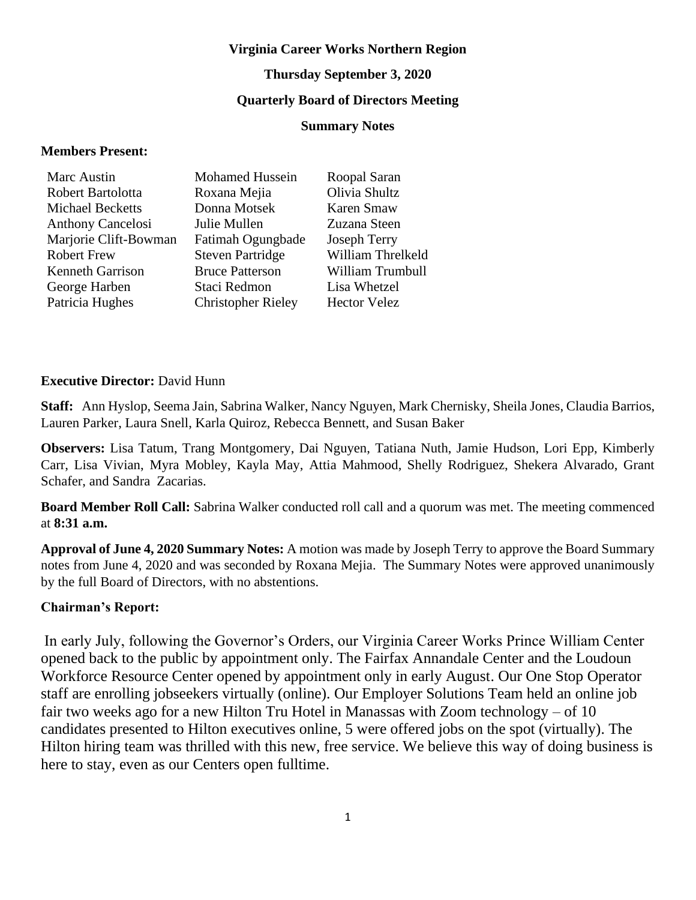#### **Virginia Career Works Northern Region**

#### **Thursday September 3, 2020**

## **Quarterly Board of Directors Meeting**

#### **Summary Notes**

#### **Members Present:**

| <b>Mohamed Hussein</b>    | Roopal Saran        |
|---------------------------|---------------------|
| Roxana Mejia              | Olivia Shultz       |
| Donna Motsek              | Karen Smaw          |
| Julie Mullen              | Zuzana Steen        |
| Fatimah Ogungbade         | <b>Joseph Terry</b> |
| <b>Steven Partridge</b>   | William Threlkeld   |
| <b>Bruce Patterson</b>    | William Trumbull    |
| Staci Redmon              | Lisa Whetzel        |
| <b>Christopher Rieley</b> | <b>Hector Velez</b> |
|                           |                     |

#### **Executive Director:** David Hunn

**Staff:** Ann Hyslop, Seema Jain, Sabrina Walker, Nancy Nguyen, Mark Chernisky, Sheila Jones, Claudia Barrios, Lauren Parker, Laura Snell, Karla Quiroz, Rebecca Bennett, and Susan Baker

**Observers:** Lisa Tatum, Trang Montgomery, Dai Nguyen, Tatiana Nuth, Jamie Hudson, Lori Epp, Kimberly Carr, Lisa Vivian, Myra Mobley, Kayla May, Attia Mahmood, Shelly Rodriguez, Shekera Alvarado, Grant Schafer, and Sandra Zacarias.

**Board Member Roll Call:** Sabrina Walker conducted roll call and a quorum was met. The meeting commenced at **8:31 a.m.**

**Approval of June 4, 2020 Summary Notes:** A motion was made by Joseph Terry to approve the Board Summary notes from June 4, 2020 and was seconded by Roxana Mejia. The Summary Notes were approved unanimously by the full Board of Directors, with no abstentions.

### **Chairman's Report:**

In early July, following the Governor's Orders, our Virginia Career Works Prince William Center opened back to the public by appointment only. The Fairfax Annandale Center and the Loudoun Workforce Resource Center opened by appointment only in early August. Our One Stop Operator staff are enrolling jobseekers virtually (online). Our Employer Solutions Team held an online job fair two weeks ago for a new Hilton Tru Hotel in Manassas with Zoom technology – of 10 candidates presented to Hilton executives online, 5 were offered jobs on the spot (virtually). The Hilton hiring team was thrilled with this new, free service. We believe this way of doing business is here to stay, even as our Centers open fulltime.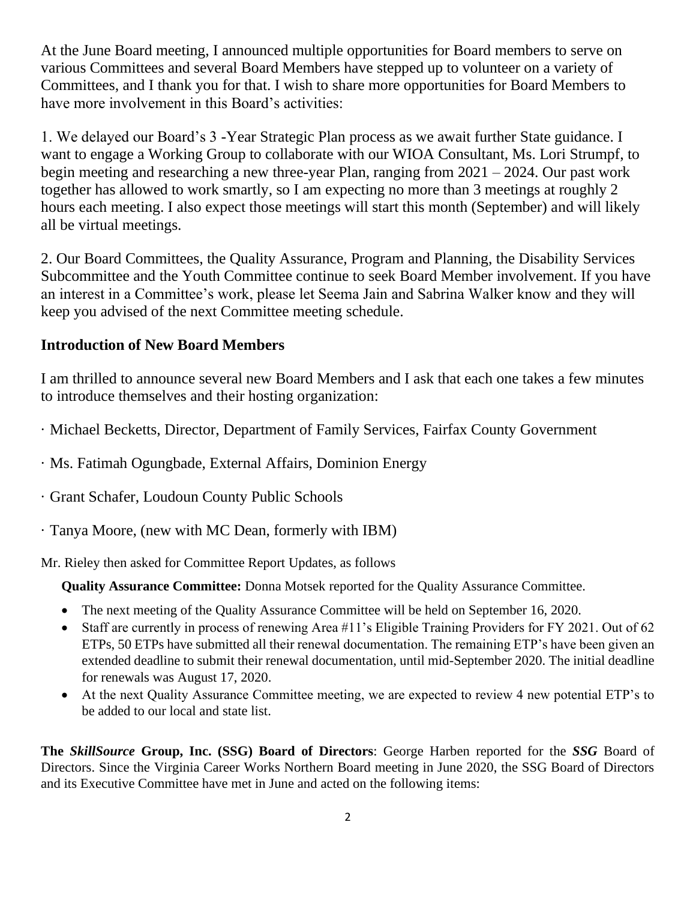At the June Board meeting, I announced multiple opportunities for Board members to serve on various Committees and several Board Members have stepped up to volunteer on a variety of Committees, and I thank you for that. I wish to share more opportunities for Board Members to have more involvement in this Board's activities:

1. We delayed our Board's 3 -Year Strategic Plan process as we await further State guidance. I want to engage a Working Group to collaborate with our WIOA Consultant, Ms. Lori Strumpf, to begin meeting and researching a new three-year Plan, ranging from 2021 – 2024. Our past work together has allowed to work smartly, so I am expecting no more than 3 meetings at roughly 2 hours each meeting. I also expect those meetings will start this month (September) and will likely all be virtual meetings.

2. Our Board Committees, the Quality Assurance, Program and Planning, the Disability Services Subcommittee and the Youth Committee continue to seek Board Member involvement. If you have an interest in a Committee's work, please let Seema Jain and Sabrina Walker know and they will keep you advised of the next Committee meeting schedule.

# **Introduction of New Board Members**

I am thrilled to announce several new Board Members and I ask that each one takes a few minutes to introduce themselves and their hosting organization:

- · Michael Becketts, Director, Department of Family Services, Fairfax County Government
- · Ms. Fatimah Ogungbade, External Affairs, Dominion Energy
- · Grant Schafer, Loudoun County Public Schools
- · Tanya Moore, (new with MC Dean, formerly with IBM)

Mr. Rieley then asked for Committee Report Updates, as follows

**Quality Assurance Committee:** Donna Motsek reported for the Quality Assurance Committee.

- The next meeting of the Quality Assurance Committee will be held on September 16, 2020.
- Staff are currently in process of renewing Area #11's Eligible Training Providers for FY 2021. Out of 62 ETPs, 50 ETPs have submitted all their renewal documentation. The remaining ETP's have been given an extended deadline to submit their renewal documentation, until mid-September 2020. The initial deadline for renewals was August 17, 2020.
- At the next Quality Assurance Committee meeting, we are expected to review 4 new potential ETP's to be added to our local and state list.

**The** *SkillSource* **Group, Inc. (SSG) Board of Directors**: George Harben reported for the *SSG* Board of Directors. Since the Virginia Career Works Northern Board meeting in June 2020, the SSG Board of Directors and its Executive Committee have met in June and acted on the following items: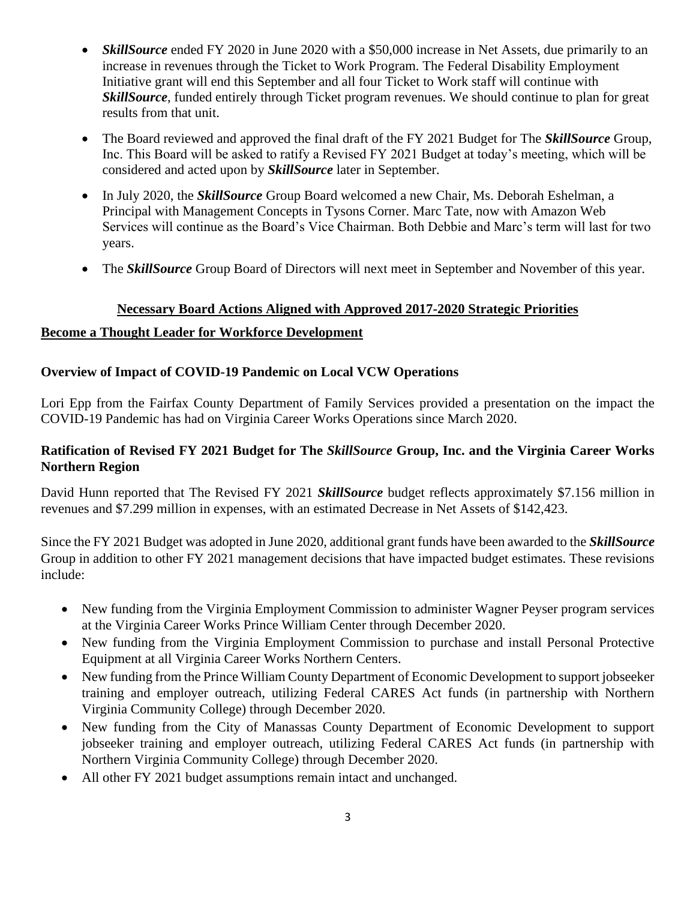- *SkillSource* ended FY 2020 in June 2020 with a \$50,000 increase in Net Assets, due primarily to an increase in revenues through the Ticket to Work Program. The Federal Disability Employment Initiative grant will end this September and all four Ticket to Work staff will continue with *SkillSource*, funded entirely through Ticket program revenues. We should continue to plan for great results from that unit.
- The Board reviewed and approved the final draft of the FY 2021 Budget for The *SkillSource* Group, Inc. This Board will be asked to ratify a Revised FY 2021 Budget at today's meeting, which will be considered and acted upon by *SkillSource* later in September.
- In July 2020, the *SkillSource* Group Board welcomed a new Chair, Ms. Deborah Eshelman, a Principal with Management Concepts in Tysons Corner. Marc Tate, now with Amazon Web Services will continue as the Board's Vice Chairman. Both Debbie and Marc's term will last for two years.
- The *SkillSource* Group Board of Directors will next meet in September and November of this year.

## **Necessary Board Actions Aligned with Approved 2017-2020 Strategic Priorities**

## **Become a Thought Leader for Workforce Development**

## **Overview of Impact of COVID-19 Pandemic on Local VCW Operations**

Lori Epp from the Fairfax County Department of Family Services provided a presentation on the impact the COVID-19 Pandemic has had on Virginia Career Works Operations since March 2020.

## **Ratification of Revised FY 2021 Budget for The** *SkillSource* **Group, Inc. and the Virginia Career Works Northern Region**

David Hunn reported that The Revised FY 2021 *SkillSource* budget reflects approximately \$7.156 million in revenues and \$7.299 million in expenses, with an estimated Decrease in Net Assets of \$142,423.

Since the FY 2021 Budget was adopted in June 2020, additional grant funds have been awarded to the *SkillSource* Group in addition to other FY 2021 management decisions that have impacted budget estimates. These revisions include:

- New funding from the Virginia Employment Commission to administer Wagner Peyser program services at the Virginia Career Works Prince William Center through December 2020.
- New funding from the Virginia Employment Commission to purchase and install Personal Protective Equipment at all Virginia Career Works Northern Centers.
- New funding from the Prince William County Department of Economic Development to support jobseeker training and employer outreach, utilizing Federal CARES Act funds (in partnership with Northern Virginia Community College) through December 2020.
- New funding from the City of Manassas County Department of Economic Development to support jobseeker training and employer outreach, utilizing Federal CARES Act funds (in partnership with Northern Virginia Community College) through December 2020.
- All other FY 2021 budget assumptions remain intact and unchanged.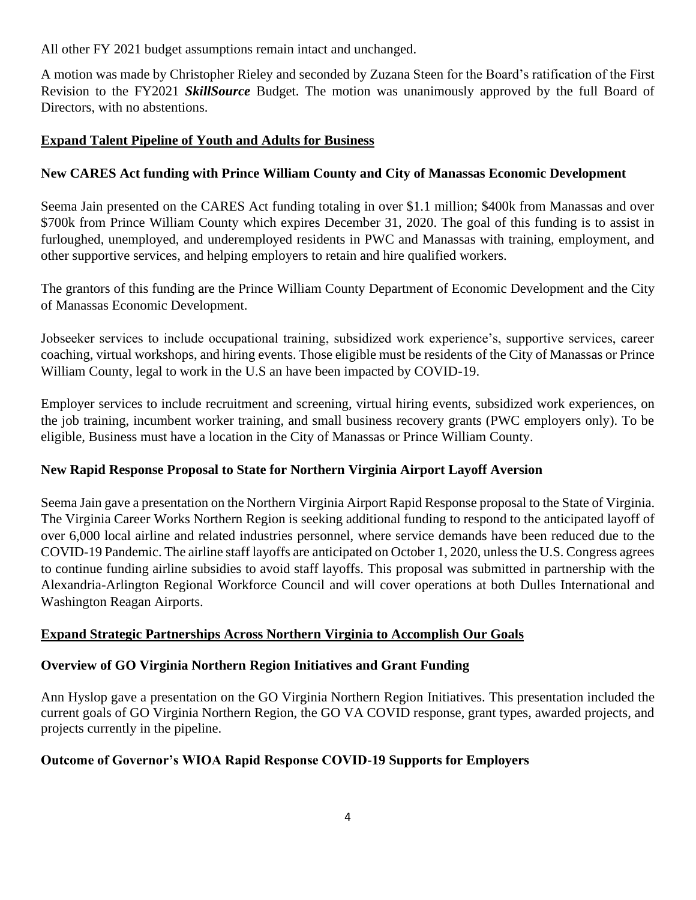All other FY 2021 budget assumptions remain intact and unchanged.

A motion was made by Christopher Rieley and seconded by Zuzana Steen for the Board's ratification of the First Revision to the FY2021 *SkillSource* Budget. The motion was unanimously approved by the full Board of Directors, with no abstentions.

# **Expand Talent Pipeline of Youth and Adults for Business**

# **New CARES Act funding with Prince William County and City of Manassas Economic Development**

Seema Jain presented on the CARES Act funding totaling in over \$1.1 million; \$400k from Manassas and over \$700k from Prince William County which expires December 31, 2020. The goal of this funding is to assist in furloughed, unemployed, and underemployed residents in PWC and Manassas with training, employment, and other supportive services, and helping employers to retain and hire qualified workers.

The grantors of this funding are the Prince William County Department of Economic Development and the City of Manassas Economic Development.

Jobseeker services to include occupational training, subsidized work experience's, supportive services, career coaching, virtual workshops, and hiring events. Those eligible must be residents of the City of Manassas or Prince William County, legal to work in the U.S an have been impacted by COVID-19.

Employer services to include recruitment and screening, virtual hiring events, subsidized work experiences, on the job training, incumbent worker training, and small business recovery grants (PWC employers only). To be eligible, Business must have a location in the City of Manassas or Prince William County.

# **New Rapid Response Proposal to State for Northern Virginia Airport Layoff Aversion**

Seema Jain gave a presentation on the Northern Virginia Airport Rapid Response proposal to the State of Virginia. The Virginia Career Works Northern Region is seeking additional funding to respond to the anticipated layoff of over 6,000 local airline and related industries personnel, where service demands have been reduced due to the COVID-19 Pandemic. The airline staff layoffs are anticipated on October 1, 2020, unless the U.S. Congress agrees to continue funding airline subsidies to avoid staff layoffs. This proposal was submitted in partnership with the Alexandria-Arlington Regional Workforce Council and will cover operations at both Dulles International and Washington Reagan Airports.

# **Expand Strategic Partnerships Across Northern Virginia to Accomplish Our Goals**

# **Overview of GO Virginia Northern Region Initiatives and Grant Funding**

Ann Hyslop gave a presentation on the GO Virginia Northern Region Initiatives. This presentation included the current goals of GO Virginia Northern Region, the GO VA COVID response, grant types, awarded projects, and projects currently in the pipeline.

# **Outcome of Governor's WIOA Rapid Response COVID-19 Supports for Employers**